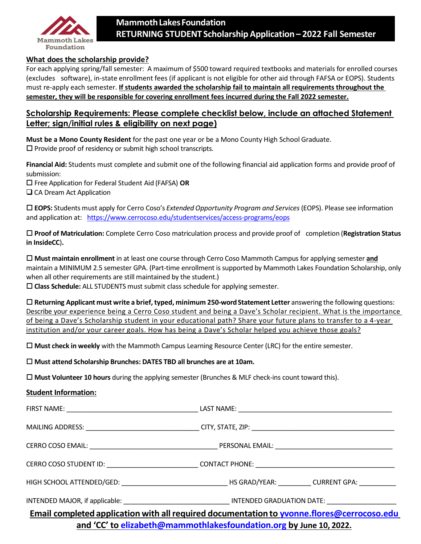

#### **What does the scholarship provide?**

For each applying spring/fall semester: A maximum of \$500 toward required textbooks and materials for enrolled courses (excludes software), in-state enrollment fees (if applicant is not eligible for other aid through FAFSA or EOPS). Students must re-apply each semester. **If students awarded the scholarship fail to maintain all requirements throughout the semester, they will be responsible for covering enrollment fees incurred during the Fall 2022 semester.**

### **Scholarship Requirements: Please complete checklist below, include an attached Statement Letter; sign/initial rules & eligibility on next page)**

**Must be a Mono County Resident** for the past one year or be a Mono County High School Graduate.  $\square$  Provide proof of residency or submit high school transcripts.

**Financial Aid:** Students must complete and submit one of the following financial aid application forms and provide proof of submission:

Free Application for Federal Student Aid (FAFSA) **OR**

□ CA Dream Act Application

 **EOPS:** Students must apply for Cerro Coso's *Extended Opportunity Program and Services*(EOPS). Please see information and application at: https:/[/www.cerrocoso.edu/studentservices/access-programs/eops](http://www.cerrocoso.edu/studentservice)

 **Proof of Matriculation:** Complete Cerro Coso matriculation process and provide proof of completion (**Registration Status in InsideCC**)**.**

 **Must maintain enrollment** in at least one course through Cerro Coso Mammoth Campus for applying semester **and** maintain a MINIMUM 2.5 semester GPA. (Part-time enrollment is supported by Mammoth Lakes Foundation Scholarship, only when all other requirements are still maintained by the student.)

**Class Schedule:** ALL STUDENTS must submit class schedule for applying semester.

 **Returning Applicant must write a brief, typed, minimum 250-wordStatement Letter** answering the following questions: Describe your experience being a Cerro Coso student and being a Dave's Scholar recipient. What is the importance of being a Dave's Scholarship student in your educational path? Share your future plans to transfer to a 4-year institution and/or your career goals. How has being a Dave's Scholar helped you achieve those goals?

**Must check in weekly** with the Mammoth Campus Learning Resource Center (LRC) for the entire semester.

#### **Must attend Scholarship Brunches: DATES TBD all brunches are at 10am.**

**Must Volunteer 10 hours** during the applying semester (Brunches & MLF check-ins count toward this).

#### **Student Information:**

| Email completed application with all required documentation to yvonne.flores@cerrocoso.edu | the contract of the contract of the contract of the contract of the contract of the contract of the contract of |  |
|--------------------------------------------------------------------------------------------|-----------------------------------------------------------------------------------------------------------------|--|

**and 'CC' to [elizabeth@mammothlakesfoundation.org](mailto:elizabeth@mammothlakesfoundation.org) by June 10, 2022.**